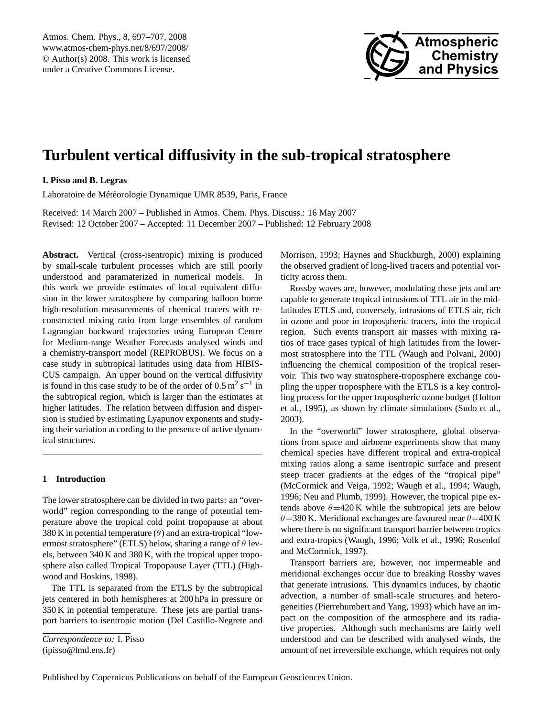

# <span id="page-0-0"></span>**Turbulent vertical diffusivity in the sub-tropical stratosphere**

## **I. Pisso and B. Legras**

Laboratoire de Météorologie Dynamique UMR 8539, Paris, France

Received: 14 March 2007 – Published in Atmos. Chem. Phys. Discuss.: 16 May 2007 Revised: 12 October 2007 – Accepted: 11 December 2007 – Published: 12 February 2008

Abstract. Vertical (cross-isentropic) mixing is produced by small-scale turbulent processes which are still poorly understood and paramaterized in numerical models. In this work we provide estimates of local equivalent diffusion in the lower stratosphere by comparing balloon borne high-resolution measurements of chemical tracers with reconstructed mixing ratio from large ensembles of random Lagrangian backward trajectories using European Centre for Medium-range Weather Forecasts analysed winds and a chemistry-transport model (REPROBUS). We focus on a case study in subtropical latitudes using data from HIBIS-CUS campaign. An upper bound on the vertical diffusivity is found in this case study to be of the order of  $0.5 \text{ m}^2 \text{ s}^{-1}$  in the subtropical region, which is larger than the estimates at higher latitudes. The relation between diffusion and dispersion is studied by estimating Lyapunov exponents and studying their variation according to the presence of active dynamical structures.

## **1 Introduction**

The lower stratosphere can be divided in two parts: an "overworld" region corresponding to the range of potential temperature above the tropical cold point tropopause at about 380 K in potential temperature  $(\theta)$  and an extra-tropical "lowermost stratosphere" (ETLS) below, sharing a range of  $\theta$  levels, between 340 K and 380 K, with the tropical upper troposphere also called Tropical Tropopause Layer (TTL) [\(High](#page-10-0)[wood and Hoskins,](#page-10-0) [1998\)](#page-10-0).

The TTL is separated from the ETLS by the subtropical jets centered in both hemispheres at 200 hPa in pressure or 350 K in potential temperature. These jets are partial transport barriers to isentropic motion [\(Del Castillo-Negrete and](#page-10-1)

*[Correspondence to:](#page-10-1)* I. Pisso

[\(ipisso@lmd.ens.fr\)](#page-10-1)

[Morrison,](#page-10-1) [1993;](#page-10-1) [Haynes and Shuckburgh,](#page-10-2) [2000\)](#page-10-2) explaining the observed gradient of long-lived tracers and potential vorticity across them.

Rossby waves are, however, modulating these jets and are capable to generate tropical intrusions of TTL air in the midlatitudes ETLS and, conversely, intrusions of ETLS air, rich in ozone and poor in tropospheric tracers, into the tropical region. Such events transport air masses with mixing ratios of trace gases typical of high latitudes from the lowermost stratosphere into the TTL [\(Waugh and Polvani,](#page-10-3) [2000\)](#page-10-3) influencing the chemical composition of the tropical reservoir. This two way stratosphere-troposphere exchange coupling the upper troposphere with the ETLS is a key controlling process for the upper tropospheric ozone budget [\(Holton](#page-10-4) [et al.,](#page-10-4) [1995\)](#page-10-4), as shown by climate simulations [\(Sudo et al.,](#page-10-5) [2003\)](#page-10-5).

In the "overworld" lower stratosphere, global observations from space and airborne experiments show that many chemical species have different tropical and extra-tropical mixing ratios along a same isentropic surface and present steep tracer gradients at the edges of the "tropical pipe" [\(McCormick and Veiga,](#page-10-6) [1992;](#page-10-6) [Waugh et al.,](#page-10-7) [1994;](#page-10-7) [Waugh,](#page-10-8) [1996;](#page-10-8) [Neu and Plumb,](#page-10-9) [1999\)](#page-10-9). However, the tropical pipe extends above  $\theta = 420$  K while the subtropical jets are below  $\theta$ =380 K. Meridional exchanges are favoured near  $\theta$ =400 K where there is no significant transport barrier between tropics and extra-tropics [\(Waugh,](#page-10-8) [1996;](#page-10-8) [Volk et al.,](#page-10-10) [1996;](#page-10-10) [Rosenlof](#page-10-11) [and McCormick,](#page-10-11) [1997\)](#page-10-11).

Transport barriers are, however, not impermeable and meridional exchanges occur due to breaking Rossby waves that generate intrusions. This dynamics induces, by chaotic advection, a number of small-scale structures and heterogeneities [\(Pierrehumbert and Yang,](#page-10-12) [1993\)](#page-10-12) which have an impact on the composition of the atmosphere and its radiative properties. Although such mechanisms are fairly well understood and can be described with analysed winds, the amount of net irreversible exchange, which requires not only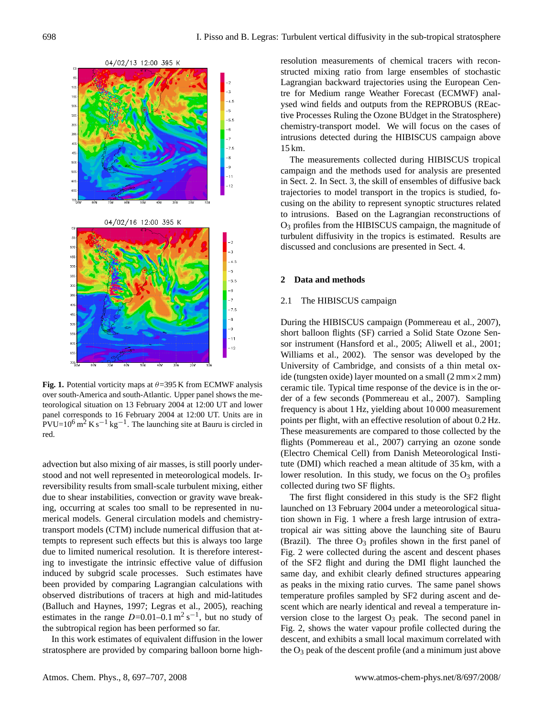

<span id="page-1-1"></span>**Fig. 1.** Potential vorticity maps at  $\theta = 395$  K from ECMWF analysis over south-America and south-Atlantic. Upper panel shows the meteorological situation on 13 February 2004 at 12:00 UT and lower panel corresponds to 16 February 2004 at 12:00 UT. Units are in  $PVU=10^6$  m<sup>2</sup> K s<sup>-1</sup> kg<sup>-1</sup>. The launching site at Bauru is circled in red.

advection but also mixing of air masses, is still poorly understood and not well represented in meteorological models. Irreversibility results from small-scale turbulent mixing, either due to shear instabilities, convection or gravity wave breaking, occurring at scales too small to be represented in numerical models. General circulation models and chemistrytransport models (CTM) include numerical diffusion that attempts to represent such effects but this is always too large due to limited numerical resolution. It is therefore interesting to investigate the intrinsic effective value of diffusion induced by subgrid scale processes. Such estimates have been provided by comparing Lagrangian calculations with observed distributions of tracers at high and mid-latitudes [\(Balluch and Haynes,](#page-10-13) [1997;](#page-10-13) [Legras et al.,](#page-10-14) [2005\)](#page-10-14), reaching estimates in the range  $D=0.01-0.1 \text{ m}^2 \text{ s}^{-1}$ , but no study of the subtropical region has been performed so far.

In this work estimates of equivalent diffusion in the lower stratosphere are provided by comparing balloon borne highresolution measurements of chemical tracers with reconstructed mixing ratio from large ensembles of stochastic Lagrangian backward trajectories using the European Centre for Medium range Weather Forecast (ECMWF) analysed wind fields and outputs from the REPROBUS (REactive Processes Ruling the Ozone BUdget in the Stratosphere) chemistry-transport model. We will focus on the cases of intrusions detected during the HIBISCUS campaign above 15 km.

The measurements collected during HIBISCUS tropical campaign and the methods used for analysis are presented in Sect. [2.](#page-1-0) In Sect. [3,](#page-4-0) the skill of ensembles of diffusive back trajectories to model transport in the tropics is studied, focusing on the ability to represent synoptic structures related to intrusions. Based on the Lagrangian reconstructions of O<sup>3</sup> profiles from the HIBISCUS campaign, the magnitude of turbulent diffusivity in the tropics is estimated. Results are discussed and conclusions are presented in Sect. [4.](#page-9-0)

## <span id="page-1-0"></span>**2 Data and methods**

## 2.1 The HIBISCUS campaign

During the HIBISCUS campaign [\(Pommereau et al.,](#page-10-15) [2007\)](#page-10-15), short balloon flights (SF) carried a Solid State Ozone Sensor instrument [\(Hansford et al.,](#page-10-16) [2005;](#page-10-16) [Aliwell et al.,](#page-10-17) [2001;](#page-10-17) [Williams et al.,](#page-10-18) [2002\)](#page-10-18). The sensor was developed by the University of Cambridge, and consists of a thin metal oxide (tungsten oxide) layer mounted on a small  $(2 \text{ mm} \times 2 \text{ mm})$ ceramic tile. Typical time response of the device is in the order of a few seconds [\(Pommereau et al.,](#page-10-15) [2007\)](#page-10-15). Sampling frequency is about 1 Hz, yielding about 10 000 measurement points per flight, with an effective resolution of about 0.2 Hz. These measurements are compared to those collected by the flights [\(Pommereau et al.,](#page-10-15) [2007\)](#page-10-15) carrying an ozone sonde (Electro Chemical Cell) from Danish Meteorological Institute (DMI) which reached a mean altitude of 35 km, with a lower resolution. In this study, we focus on the  $O_3$  profiles collected during two SF flights.

The first flight considered in this study is the SF2 flight launched on 13 February 2004 under a meteorological situation shown in Fig. [1](#page-1-1) where a fresh large intrusion of extratropical air was sitting above the launching site of Bauru (Brazil). The three  $O_3$  profiles shown in the first panel of Fig. [2](#page-2-0) were collected during the ascent and descent phases of the SF2 flight and during the DMI flight launched the same day, and exhibit clearly defined structures appearing as peaks in the mixing ratio curves. The same panel shows temperature profiles sampled by SF2 during ascent and descent which are nearly identical and reveal a temperature inversion close to the largest  $O_3$  peak. The second panel in Fig. [2,](#page-2-0) shows the water vapour profile collected during the descent, and exhibits a small local maximum correlated with the  $O_3$  peak of the descent profile (and a minimum just above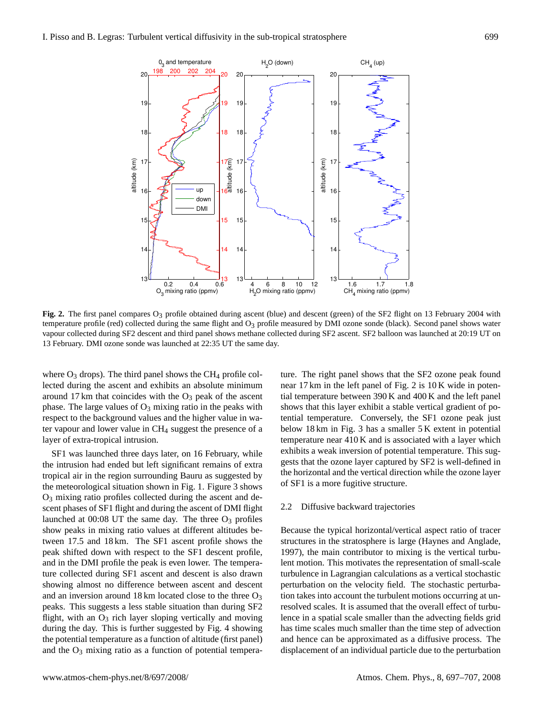

<span id="page-2-0"></span>Fig. 2. The first panel compares O<sub>3</sub> profile obtained during ascent (blue) and descent (green) of the SF2 flight on 13 February 2004 with temperature profile (red) collected during the same flight and  $O<sub>3</sub>$  profile measured by DMI ozone sonde (black). Second panel shows water vapour collected during SF2 descent and third panel shows methane collected during SF2 ascent. SF2 balloon was launched at 20:19 UT on 13 February. DMI ozone sonde was launched at 22:35 UT the same day.

where  $O_3$  drops). The third panel shows the CH<sub>4</sub> profile collected during the ascent and exhibits an absolute minimum around 17 km that coincides with the  $O_3$  peak of the ascent phase. The large values of  $O_3$  mixing ratio in the peaks with respect to the background values and the higher value in water vapour and lower value in CH<sup>4</sup> suggest the presence of a layer of extra-tropical intrusion.

SF1 was launched three days later, on 16 February, while the intrusion had ended but left significant remains of extra tropical air in the region surrounding Bauru as suggested by the meteorological situation shown in Fig. 1. Figure [3](#page-3-0) shows O<sup>3</sup> mixing ratio profiles collected during the ascent and descent phases of SF1 flight and during the ascent of DMI flight launched at  $00:08$  UT the same day. The three  $O_3$  profiles show peaks in mixing ratio values at different altitudes between 17.5 and 18 km. The SF1 ascent profile shows the peak shifted down with respect to the SF1 descent profile, and in the DMI profile the peak is even lower. The temperature collected during SF1 ascent and descent is also drawn showing almost no difference between ascent and descent and an inversion around 18 km located close to the three  $O_3$ peaks. This suggests a less stable situation than during SF2 flight, with an  $O_3$  rich layer sloping vertically and moving during the day. This is further suggested by Fig. [4](#page-3-1) showing the potential temperature as a function of altitude (first panel) and the  $O_3$  mixing ratio as a function of potential temperature. The right panel shows that the SF2 ozone peak found near 17 km in the left panel of Fig. [2](#page-2-0) is 10 K wide in potential temperature between 390 K and 400 K and the left panel shows that this layer exhibit a stable vertical gradient of potential temperature. Conversely, the SF1 ozone peak just below 18 km in Fig. [3](#page-3-0) has a smaller 5 K extent in potential temperature near 410 K and is associated with a layer which exhibits a weak inversion of potential temperature. This suggests that the ozone layer captured by SF2 is well-defined in the horizontal and the vertical direction while the ozone layer of SF1 is a more fugitive structure.

## 2.2 Diffusive backward trajectories

Because the typical horizontal/vertical aspect ratio of tracer structures in the stratosphere is large [\(Haynes and Anglade,](#page-10-19) [1997\)](#page-10-19), the main contributor to mixing is the vertical turbulent motion. This motivates the representation of small-scale turbulence in Lagrangian calculations as a vertical stochastic perturbation on the velocity field. The stochastic perturbation takes into account the turbulent motions occurring at unresolved scales. It is assumed that the overall effect of turbulence in a spatial scale smaller than the advecting fields grid has time scales much smaller than the time step of advection and hence can be approximated as a diffusive process. The displacement of an individual particle due to the perturbation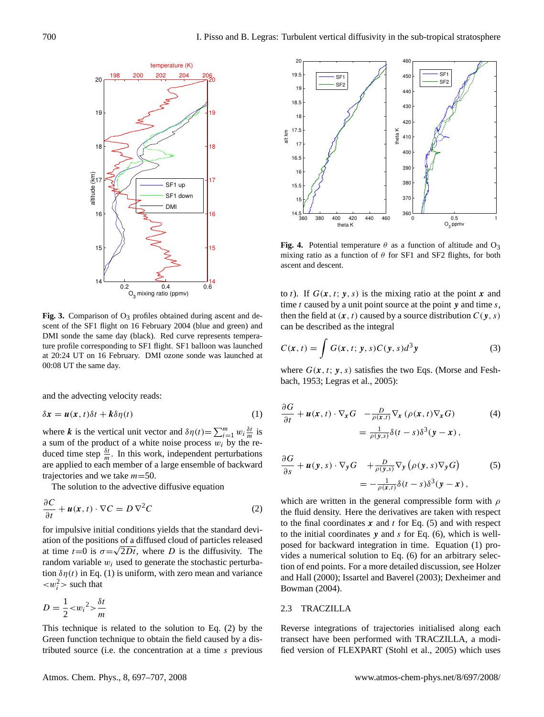

<span id="page-3-0"></span>Fig. 3. Comparison of  $O_3$  profiles obtained during ascent and descent of the SF1 flight on 16 February 2004 (blue and green) and DMI sonde the same day (black). Red curve represents temperature profile corresponding to SF1 flight. SF1 balloon was launched at 20:24 UT on 16 February. DMI ozone sonde was launched at 00:08 UT the same day.

and the advecting velocity reads:

<span id="page-3-2"></span>
$$
\delta x = u(x, t)\delta t + k\delta \eta(t) \tag{1}
$$

where **k** is the vertical unit vector and  $\delta \eta(t) = \sum_{i=1}^{m} w_i \frac{\delta t}{m}$  is a sum of the product of a white noise process  $w_i$  by the reduced time step  $\frac{\delta t}{m}$ . In this work, independent perturbations are applied to each member of a large ensemble of backward trajectories and we take  $m=50$ .

The solution to the advective diffusive equation

<span id="page-3-3"></span>
$$
\frac{\partial C}{\partial t} + \boldsymbol{u}(\boldsymbol{x}, t) \cdot \nabla C = D \, \nabla^2 C \tag{2}
$$

for impulsive initial conditions yields that the standard deviation of the positions of a diffused cloud of particles released at time  $t=0$  is  $\sigma = \sqrt{2Dt}$ , where D is the diffusivity. The random variable  $w_i$  used to generate the stochastic perturbation  $\delta \eta(t)$  in Eq. [\(1\)](#page-3-2) is uniform, with zero mean and variance  $\langle w_i^2 \rangle$  such that

$$
D = \frac{1}{2} < w_i^2 > \frac{\delta t}{m}
$$

This technique is related to the solution to Eq. [\(2\)](#page-3-3) by the Green function technique to obtain the field caused by a distributed source (i.e. the concentration at a time s previous



<span id="page-3-1"></span>**Fig. 4.** Potential temperature  $\theta$  as a function of altitude and  $O_3$ mixing ratio as a function of  $\theta$  for SF1 and SF2 flights, for both ascent and descent.

to t). If  $G(x, t; y, s)$  is the mixing ratio at the point x and time  $t$  caused by a unit point source at the point  $y$  and time  $s$ , then the field at  $(x, t)$  caused by a source distribution  $C(y, s)$ can be described as the integral

$$
C(\mathbf{x}, t) = \int G(\mathbf{x}, t; \mathbf{y}, s) C(\mathbf{y}, s) d^3 \mathbf{y}
$$
 (3)

where  $G(x, t; y, s)$  satisfies the two Eqs. [\(Morse and Fesh](#page-10-20)[bach,](#page-10-20) [1953;](#page-10-20) [Legras et al.,](#page-10-14) [2005\)](#page-10-14):

<span id="page-3-4"></span>
$$
\frac{\partial G}{\partial t} + \boldsymbol{u}(\boldsymbol{x}, t) \cdot \nabla_{\boldsymbol{x}} G - \frac{D}{\rho(\boldsymbol{x}, t)} \nabla_{\boldsymbol{x}} (\rho(\boldsymbol{x}, t) \nabla_{\boldsymbol{x}} G) \tag{4}
$$
\n
$$
= \frac{1}{\rho(\boldsymbol{y}, s)} \delta(t - s) \delta^{3}(\boldsymbol{y} - \boldsymbol{x}) \,,
$$

<span id="page-3-5"></span>
$$
\frac{\partial G}{\partial s} + \boldsymbol{u}(\boldsymbol{y}, s) \cdot \nabla_{\boldsymbol{y}} G + \frac{D}{\rho(\boldsymbol{y}, s)} \nabla_{\boldsymbol{y}} \left( \rho(\boldsymbol{y}, s) \nabla_{\boldsymbol{y}} G \right) \tag{5}
$$
\n
$$
= -\frac{1}{\rho(\boldsymbol{x}, t)} \delta(t - s) \delta^{3}(\boldsymbol{y} - \boldsymbol{x}) \,,
$$

which are written in the general compressible form with  $\rho$ the fluid density. Here the derivatives are taken with respect to the final coordinates  $x$  and  $t$  for Eq. [\(5\)](#page-3-4) and with respect to the initial coordinates  $y$  and  $s$  for Eq. [\(6\)](#page-3-5), which is wellposed for backward integration in time. Equation [\(1\)](#page-3-2) provides a numerical solution to Eq. [\(6\)](#page-3-5) for an arbitrary selection of end points. For a more detailed discussion, see [Holzer](#page-10-21) [and Hall](#page-10-21) [\(2000\)](#page-10-21); [Issartel and Baverel](#page-10-22) [\(2003\)](#page-10-22); [Dexheimer and](#page-10-23) [Bowman](#page-10-23) [\(2004\)](#page-10-23).

## 2.3 TRACZILLA

Reverse integrations of trajectories initialised along each transect have been performed with TRACZILLA, a modified version of FLEXPART [\(Stohl et al.,](#page-10-24) [2005\)](#page-10-24) which uses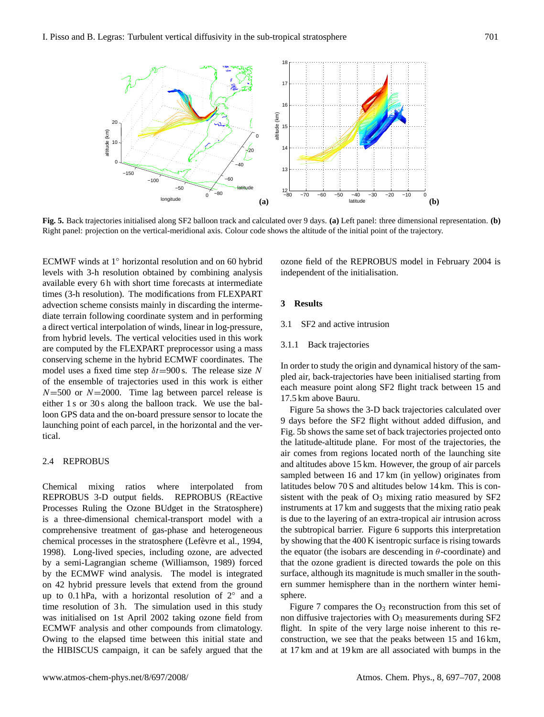

<span id="page-4-1"></span>**Fig. 5.** Back trajectories initialised along SF2 balloon track and calculated over 9 days. **(a)** Left panel: three dimensional representation. **(b)** Right panel: projection on the vertical-meridional axis. Colour code shows the altitude of the initial point of the trajectory.

ECMWF winds at 1◦ horizontal resolution and on 60 hybrid levels with 3-h resolution obtained by combining analysis available every 6 h with short time forecasts at intermediate times (3-h resolution). The modifications from FLEXPART advection scheme consists mainly in discarding the intermediate terrain following coordinate system and in performing a direct vertical interpolation of winds, linear in log-pressure, from hybrid levels. The vertical velocities used in this work are computed by the FLEXPART preprocessor using a mass conserving scheme in the hybrid ECMWF coordinates. The model uses a fixed time step  $\delta t = 900$  s. The release size N of the ensemble of trajectories used in this work is either  $N=500$  or  $N=2000$ . Time lag between parcel release is either 1 s or 30 s along the balloon track. We use the balloon GPS data and the on-board pressure sensor to locate the launching point of each parcel, in the horizontal and the vertical.

## 2.4 REPROBUS

Chemical mixing ratios where interpolated from REPROBUS 3-D output fields. REPROBUS (REactive Processes Ruling the Ozone BUdget in the Stratosphere) is a three-dimensional chemical-transport model with a comprehensive treatment of gas-phase and heterogeneous chemical processes in the stratosphere (Lefèvre et al., [1994,](#page-10-25) [1998\)](#page-10-26). Long-lived species, including ozone, are advected by a semi-Lagrangian scheme [\(Williamson,](#page-10-27) [1989\)](#page-10-27) forced by the ECMWF wind analysis. The model is integrated on 42 hybrid pressure levels that extend from the ground up to  $0.1$  hPa, with a horizontal resolution of  $2^\circ$  and a time resolution of 3h. The simulation used in this study was initialised on 1st April 2002 taking ozone field from ECMWF analysis and other compounds from climatology. Owing to the elapsed time between this initial state and the HIBISCUS campaign, it can be safely argued that the

ozone field of the REPROBUS model in February 2004 is independent of the initialisation.

# <span id="page-4-0"></span>**3 Results**

3.1 SF2 and active intrusion

## 3.1.1 Back trajectories

In order to study the origin and dynamical history of the sampled air, back-trajectories have been initialised starting from each measure point along SF2 flight track between 15 and 17.5 km above Bauru.

Figure [5a](#page-4-1) shows the 3-D back trajectories calculated over 9 days before the SF2 flight without added diffusion, and Fig. [5b](#page-4-1) shows the same set of back trajectories projected onto the latitude-altitude plane. For most of the trajectories, the air comes from regions located north of the launching site and altitudes above 15 km. However, the group of air parcels sampled between 16 and 17 km (in yellow) originates from latitudes below 70 S and altitudes below 14 km. This is consistent with the peak of  $O_3$  mixing ratio measured by SF2 instruments at 17 km and suggests that the mixing ratio peak is due to the layering of an extra-tropical air intrusion across the subtropical barrier. Figure [6](#page-5-0) supports this interpretation by showing that the 400 K isentropic surface is rising towards the equator (the isobars are descending in  $\theta$ -coordinate) and that the ozone gradient is directed towards the pole on this surface, although its magnitude is much smaller in the southern summer hemisphere than in the northern winter hemisphere.

Figure [7](#page-5-1) compares the  $O_3$  reconstruction from this set of non diffusive trajectories with  $O_3$  measurements during SF2 flight. In spite of the very large noise inherent to this reconstruction, we see that the peaks between 15 and 16 km, at 17 km and at 19 km are all associated with bumps in the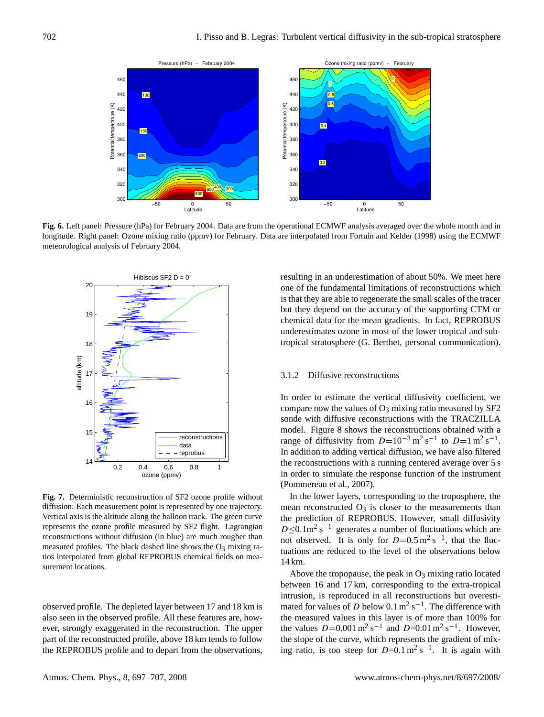

<span id="page-5-0"></span>**Fig. 6.** Left panel: Pressure (hPa) for February 2004. Data are from the operational ECMWF analysis averaged over the whole month and in longitude. Right panel: Ozone mixing ratio (ppmv) for February. Data are interpolated from [Fortuin and Kelder](#page-10-28) [\(1998\)](#page-10-28) using the ECMWF meteorological analysis of February 2004.



<span id="page-5-1"></span>**Fig. 7.** Deterministic reconstruction of SF2 ozone profile without diffusion. Each measurement point is represented by one trajectory. Vertical axis is the altitude along the balloon track. The green curve represents the ozone profile measured by SF2 flight. Lagrangian reconstructions without diffusion (in blue) are much rougher than measured profiles. The black dashed line shows the  $O_3$  mixing ratios interpolated from global REPROBUS chemical fields on measurement locations.

observed profile. The depleted layer between 17 and 18 km is also seen in the observed profile. All these features are, however, strongly exaggerated in the reconstruction. The upper part of the reconstructed profile, above 18 km tends to follow the REPROBUS profile and to depart from the observations, resulting in an underestimation of about 50%. We meet here one of the fundamental limitations of reconstructions which is that they are able to regenerate the small scales of the tracer but they depend on the accuracy of the supporting CTM or chemical data for the mean gradients. In fact, REPROBUS underestimates ozone in most of the lower tropical and subtropical stratosphere (G. Berthet, personal communication).

### 3.1.2 Diffusive reconstructions

In order to estimate the vertical diffusivity coefficient, we compare now the values of  $O_3$  mixing ratio measured by SF2 sonde with diffusive reconstructions with the TRACZILLA model. Figure [8](#page-6-0) shows the reconstructions obtained with a range of diffusivity from  $D=10^{-3}$  m<sup>2</sup> s<sup>-1</sup> to  $D=1$  m<sup>2</sup> s<sup>-1</sup>. In addition to adding vertical diffusion, we have also filtered the reconstructions with a running centered average over 5 s in order to simulate the response function of the instrument [\(Pommereau et al.,](#page-10-15) [2007\)](#page-10-15).

In the lower layers, corresponding to the troposphere, the mean reconstructed  $O_3$  is closer to the measurements than the prediction of REPROBUS. However, small diffusivity  $D \le 0.1$ m<sup>2</sup> s<sup>-1</sup> generates a number of fluctuations which are not observed. It is only for  $D=0.5 \text{ m}^2 \text{ s}^{-1}$ , that the fluctuations are reduced to the level of the observations below 14 km.

Above the tropopause, the peak in  $O_3$  mixing ratio located between 16 and 17 km, corresponding to the extra-tropical intrusion, is reproduced in all reconstructions but overestimated for values of D below  $0.1 \text{ m}^2 \text{ s}^{-1}$ . The difference with the measured values in this layer is of more than 100% for the values  $D=0.001 \text{ m}^2 \text{ s}^{-1}$  and  $D=0.01 \text{ m}^2 \text{ s}^{-1}$ . However, the slope of the curve, which represents the gradient of mixing ratio, is too steep for  $D=0.1 \text{ m}^2 \text{ s}^{-1}$ . It is again with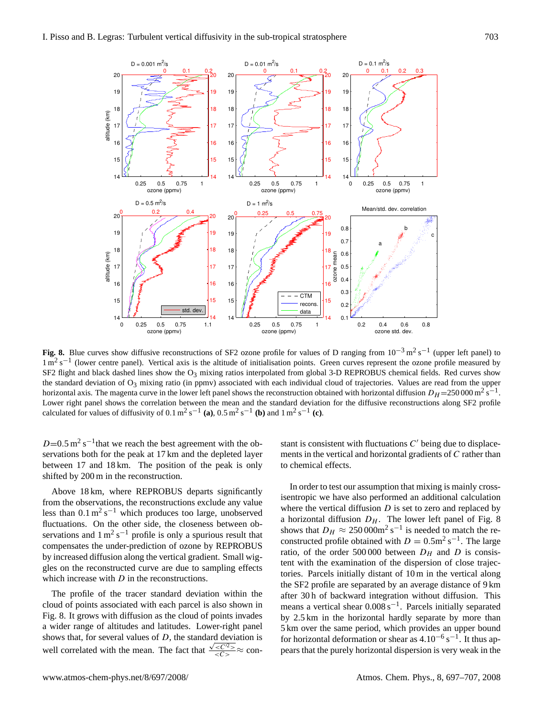

<span id="page-6-0"></span>**Fig. 8.** Blue curves show diffusive reconstructions of SF2 ozone profile for values of D ranging from  $10^{-3}$  m<sup>2</sup> s<sup>-1</sup> (upper left panel) to  $1 \text{ m}^2 \text{ s}^{-1}$  (lower centre panel). Vertical axis is the altitude of initialisation points. Green curves represent the ozone profile measured by SF2 flight and black dashed lines show the  $O_3$  mixing ratios interpolated from global 3-D REPROBUS chemical fields. Red curves show the standard deviation of O<sub>3</sub> mixing ratio (in ppmv) associated with each individual cloud of trajectories. Values are read from the upper horizontal axis. The magenta curve in the lower left panel shows the reconstruction obtained with horizontal diffusion  $D_H = 250000 \text{ m}^2 \text{s}^{-1}$ . Lower right panel shows the correlation between the mean and the standard deviation for the diffusive reconstructions along SF2 profile calculated for values of diffusivity of  $0.1 \text{ m}^2 \text{ s}^{-1}$  (a),  $0.5 \text{ m}^2 \text{ s}^{-1}$  (b) and  $1 \text{ m}^2 \text{ s}^{-1}$  (c).

 $D=0.5 \text{ m}^2 \text{ s}^{-1}$  that we reach the best agreement with the observations both for the peak at 17 km and the depleted layer between 17 and 18 km. The position of the peak is only shifted by 200 m in the reconstruction.

Above 18 km, where REPROBUS departs significantly from the observations, the reconstructions exclude any value less than  $0.1 \text{ m}^2 \text{ s}^{-1}$  which produces too large, unobserved fluctuations. On the other side, the closeness between observations and  $1 \text{ m}^2 \text{ s}^{-1}$  profile is only a spurious result that compensates the under-prediction of ozone by REPROBUS by increased diffusion along the vertical gradient. Small wiggles on the reconstructed curve are due to sampling effects which increase with  $D$  in the reconstructions.

The profile of the tracer standard deviation within the cloud of points associated with each parcel is also shown in Fig. [8.](#page-6-0) It grows with diffusion as the cloud of points invades a wider range of altitudes and latitudes. Lower-right panel shows that, for several values of  $D$ , the standard deviation is well correlated with the mean. The fact that  $\frac{\sqrt{<<^2>}}{<<^2>} \approx$  con-

stant is consistent with fluctuations  $C'$  being due to displacements in the vertical and horizontal gradients of C rather than to chemical effects.

In order to test our assumption that mixing is mainly crossisentropic we have also performed an additional calculation where the vertical diffusion  $D$  is set to zero and replaced by a horizontal diffusion  $D_H$ . The lower left panel of Fig. [8](#page-6-0) shows that  $D_H \approx 250\,000$ m<sup>2</sup> s<sup>-1</sup> is needed to match the reconstructed profile obtained with  $D = 0.5$ m<sup>2</sup> s<sup>-1</sup>. The large ratio, of the order 500 000 between  $D_H$  and D is consistent with the examination of the dispersion of close trajectories. Parcels initially distant of 10 m in the vertical along the SF2 profile are separated by an average distance of 9 km after 30 h of backward integration without diffusion. This means a vertical shear 0.008 s<sup>-1</sup>. Parcels initially separated by 2.5 km in the horizontal hardly separate by more than 5 km over the same period, which provides an upper bound for horizontal deformation or shear as  $4.10^{-6}$  s<sup>-1</sup>. It thus appears that the purely horizontal dispersion is very weak in the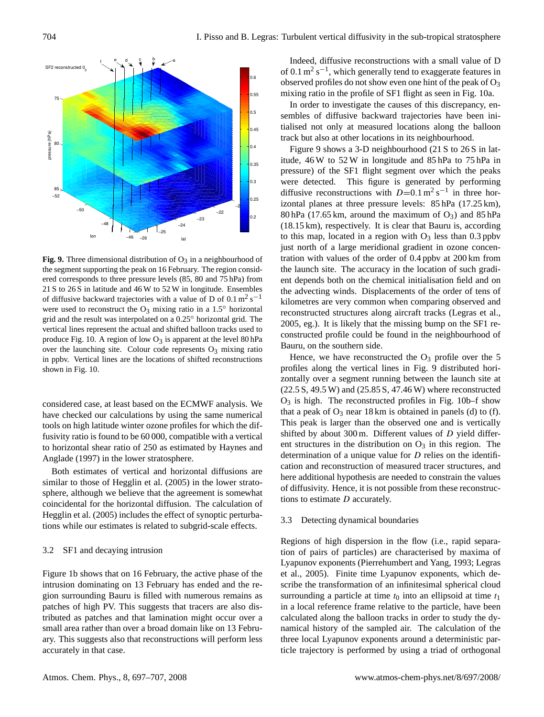

<span id="page-7-0"></span>**Fig. 9.** Three dimensional distribution of  $O_3$  in a neighbourhood of the segment supporting the peak on 16 February. The region considered corresponds to three pressure levels (85, 80 and 75 hPa) from 21 S to 26 S in latitude and 46 W to 52 W in longitude. Ensembles of diffusive backward trajectories with a value of D of  $0.1 \text{ m}^2 \text{ s}^{-1}$ were used to reconstruct the  $O_3$  mixing ratio in a 1.5 $\textdegree$  horizontal grid and the result was interpolated on a 0.25◦ horizontal grid. The vertical lines represent the actual and shifted balloon tracks used to produce Fig. [10.](#page-8-0) A region of low  $O_3$  is apparent at the level 80 hPa over the launching site. Colour code represents  $O_3$  mixing ratio in ppbv. Vertical lines are the locations of shifted reconstructions shown in Fig. [10.](#page-8-0)

considered case, at least based on the ECMWF analysis. We have checked our calculations by using the same numerical tools on high latitude winter ozone profiles for which the diffusivity ratio is found to be 60 000, compatible with a vertical to horizontal shear ratio of 250 as estimated by [Haynes and](#page-10-19) [Anglade](#page-10-19) [\(1997\)](#page-10-19) in the lower stratosphere.

Both estimates of vertical and horizontal diffusions are similar to those of [Hegglin et al.](#page-10-29) [\(2005\)](#page-10-29) in the lower stratosphere, although we believe that the agreement is somewhat coincidental for the horizontal diffusion. The calculation of [Hegglin et al.](#page-10-29) [\(2005\)](#page-10-29) includes the effect of synoptic perturbations while our estimates is related to subgrid-scale effects.

# 3.2 SF1 and decaying intrusion

Figure [1b](#page-1-1) shows that on 16 February, the active phase of the intrusion dominating on 13 February has ended and the region surrounding Bauru is filled with numerous remains as patches of high PV. This suggests that tracers are also distributed as patches and that lamination might occur over a small area rather than over a broad domain like on 13 February. This suggests also that reconstructions will perform less accurately in that case.

Indeed, diffusive reconstructions with a small value of D of 0.1  $\text{m}^2$  s<sup>-1</sup>, which generally tend to exaggerate features in observed profiles do not show even one hint of the peak of  $O_3$ mixing ratio in the profile of SF1 flight as seen in Fig. [10a](#page-8-0).

In order to investigate the causes of this discrepancy, ensembles of diffusive backward trajectories have been initialised not only at measured locations along the balloon track but also at other locations in its neighbourhood.

Figure [9](#page-7-0) shows a 3-D neighbourhood (21 S to 26 S in latitude, 46 W to 52 W in longitude and 85 hPa to 75 hPa in pressure) of the SF1 flight segment over which the peaks were detected. This figure is generated by performing diffusive reconstructions with  $D=0.1 \text{ m}^2 \text{ s}^{-1}$  in three horizontal planes at three pressure levels: 85 hPa (17.25 km), 80 hPa (17.65 km, around the maximum of  $O_3$ ) and 85 hPa (18.15 km), respectively. It is clear that Bauru is, according to this map, located in a region with  $O_3$  less than 0.3 ppbv just north of a large meridional gradient in ozone concentration with values of the order of 0.4 ppbv at 200 km from the launch site. The accuracy in the location of such gradient depends both on the chemical initialisation field and on the advecting winds. Displacements of the order of tens of kilometres are very common when comparing observed and reconstructed structures along aircraft tracks [\(Legras et al.,](#page-10-14) [2005,](#page-10-14) eg.). It is likely that the missing bump on the SF1 reconstructed profile could be found in the neighbourhood of Bauru, on the southern side.

Hence, we have reconstructed the  $O_3$  profile over the 5 profiles along the vertical lines in Fig. [9](#page-7-0) distributed horizontally over a segment running between the launch site at (22.5 S, 49.5 W) and (25.85 S, 47.46 W) where reconstructed  $O_3$  is high. The reconstructed profiles in Fig. [10b](#page-8-0)–f show that a peak of  $O_3$  near 18 km is obtained in panels (d) to (f). This peak is larger than the observed one and is vertically shifted by about 300 m. Different values of  $D$  yield different structures in the distribution on  $O_3$  in this region. The determination of a unique value for D relies on the identification and reconstruction of measured tracer structures, and here additional hypothesis are needed to constrain the values of diffusivity. Hence, it is not possible from these reconstructions to estimate D accurately.

#### 3.3 Detecting dynamical boundaries

Regions of high dispersion in the flow (i.e., rapid separation of pairs of particles) are characterised by maxima of Lyapunov exponents [\(Pierrehumbert and Yang,](#page-10-12) [1993;](#page-10-12) [Legras](#page-10-14) [et al.,](#page-10-14) [2005\)](#page-10-14). Finite time Lyapunov exponents, which describe the transformation of an infinitesimal spherical cloud surrounding a particle at time  $t_0$  into an ellipsoid at time  $t_1$ in a local reference frame relative to the particle, have been calculated along the balloon tracks in order to study the dynamical history of the sampled air. The calculation of the three local Lyapunov exponents around a deterministic particle trajectory is performed by using a triad of orthogonal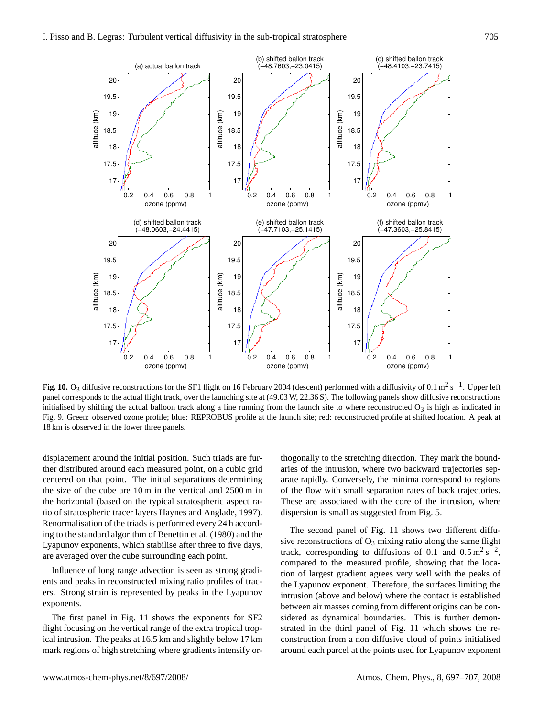

<span id="page-8-0"></span>**Fig. 10.** O<sub>3</sub> diffusive reconstructions for the SF1 flight on 16 February 2004 (descent) performed with a diffusivity of 0.1 m<sup>2</sup> s<sup>-1</sup>. Upper left panel corresponds to the actual flight track, over the launching site at (49.03 W, 22.36 S). The following panels show diffusive reconstructions initialised by shifting the actual balloon track along a line running from the launch site to where reconstructed  $O_3$  is high as indicated in Fig. [9.](#page-7-0) Green: observed ozone profile; blue: REPROBUS profile at the launch site; red: reconstructed profile at shifted location. A peak at 18 km is observed in the lower three panels.

displacement around the initial position. Such triads are further distributed around each measured point, on a cubic grid centered on that point. The initial separations determining the size of the cube are 10 m in the vertical and 2500 m in the horizontal (based on the typical stratospheric aspect ratio of stratospheric tracer layers [Haynes and Anglade,](#page-10-19) [1997\)](#page-10-19). Renormalisation of the triads is performed every 24 h according to the standard algorithm of [Benettin et al.](#page-10-30) [\(1980\)](#page-10-30) and the Lyapunov exponents, which stabilise after three to five days, are averaged over the cube surrounding each point.

Influence of long range advection is seen as strong gradients and peaks in reconstructed mixing ratio profiles of tracers. Strong strain is represented by peaks in the Lyapunov exponents.

The first panel in Fig. [11](#page-9-1) shows the exponents for SF2 flight focusing on the vertical range of the extra tropical tropical intrusion. The peaks at 16.5 km and slightly below 17 km mark regions of high stretching where gradients intensify orthogonally to the stretching direction. They mark the boundaries of the intrusion, where two backward trajectories separate rapidly. Conversely, the minima correspond to regions of the flow with small separation rates of back trajectories. These are associated with the core of the intrusion, where dispersion is small as suggested from Fig. [5.](#page-4-1)

The second panel of Fig. [11](#page-9-1) shows two different diffusive reconstructions of  $O_3$  mixing ratio along the same flight track, corresponding to diffusions of 0.1 and  $0.5 \text{ m}^2 \text{ s}^{-2}$ , compared to the measured profile, showing that the location of largest gradient agrees very well with the peaks of the Lyapunov exponent. Therefore, the surfaces limiting the intrusion (above and below) where the contact is established between air masses coming from different origins can be considered as dynamical boundaries. This is further demonstrated in the third panel of Fig. [11](#page-9-1) which shows the reconstruction from a non diffusive cloud of points initialised around each parcel at the points used for Lyapunov exponent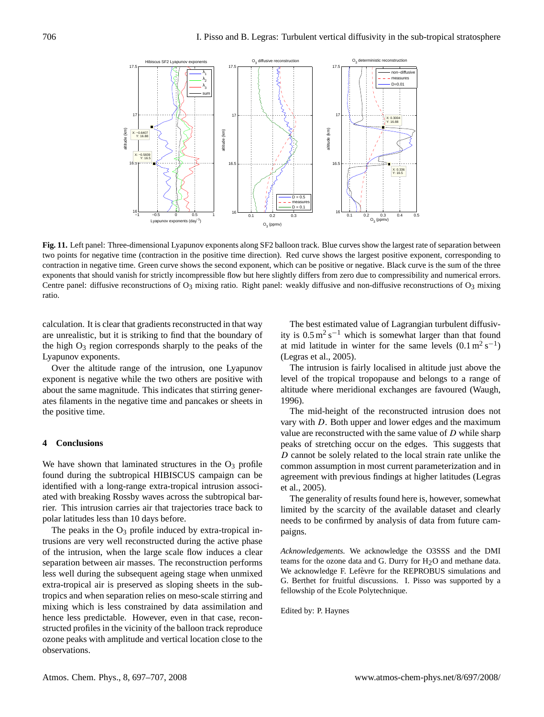

<span id="page-9-1"></span>**Fig. 11.** Left panel: Three-dimensional Lyapunov exponents along SF2 balloon track. Blue curves show the largest rate of separation between two points for negative time (contraction in the positive time direction). Red curve shows the largest positive exponent, corresponding to contraction in negative time. Green curve shows the second exponent, which can be positive or negative. Black curve is the sum of the three exponents that should vanish for strictly incompressible flow but here slightly differs from zero due to compressibility and numerical errors. Centre panel: diffusive reconstructions of  $O_3$  mixing ratio. Right panel: weakly diffusive and non-diffusive reconstructions of  $O_3$  mixing ratio.

calculation. It is clear that gradients reconstructed in that way are unrealistic, but it is striking to find that the boundary of the high  $O_3$  region corresponds sharply to the peaks of the Lyapunov exponents.

Over the altitude range of the intrusion, one Lyapunov exponent is negative while the two others are positive with about the same magnitude. This indicates that stirring generates filaments in the negative time and pancakes or sheets in the positive time.

#### <span id="page-9-0"></span>**4 Conclusions**

We have shown that laminated structures in the  $O_3$  profile found during the subtropical HIBISCUS campaign can be identified with a long-range extra-tropical intrusion associated with breaking Rossby waves across the subtropical barrier. This intrusion carries air that trajectories trace back to polar latitudes less than 10 days before.

The peaks in the  $O_3$  profile induced by extra-tropical intrusions are very well reconstructed during the active phase of the intrusion, when the large scale flow induces a clear separation between air masses. The reconstruction performs less well during the subsequent ageing stage when unmixed extra-tropical air is preserved as sloping sheets in the subtropics and when separation relies on meso-scale stirring and mixing which is less constrained by data assimilation and hence less predictable. However, even in that case, reconstructed profiles in the vicinity of the balloon track reproduce ozone peaks with amplitude and vertical location close to the observations.

The best estimated value of Lagrangian turbulent diffusivity is  $0.5 \text{ m}^2 \text{ s}^{-1}$  which is somewhat larger than that found at mid latitude in winter for the same levels  $(0.1 \text{ m}^2 \text{ s}^{-1})$ [\(Legras et al.,](#page-10-14) [2005\)](#page-10-14).

The intrusion is fairly localised in altitude just above the level of the tropical tropopause and belongs to a range of altitude where meridional exchanges are favoured [\(Waugh,](#page-10-8) [1996\)](#page-10-8).

The mid-height of the reconstructed intrusion does not vary with D. Both upper and lower edges and the maximum value are reconstructed with the same value of  $D$  while sharp peaks of stretching occur on the edges. This suggests that D cannot be solely related to the local strain rate unlike the common assumption in most current parameterization and in agreement with previous findings at higher latitudes [\(Legras](#page-10-14) [et al.,](#page-10-14) [2005\)](#page-10-14).

The generality of results found here is, however, somewhat limited by the scarcity of the available dataset and clearly needs to be confirmed by analysis of data from future campaigns.

*Acknowledgements.* We acknowledge the O3SSS and the DMI teams for the ozone data and G. Durry for  $H_2O$  and methane data. We acknowledge F. Lefèvre for the REPROBUS simulations and G. Berthet for fruitful discussions. I. Pisso was supported by a fellowship of the Ecole Polytechnique.

Edited by: P. Haynes